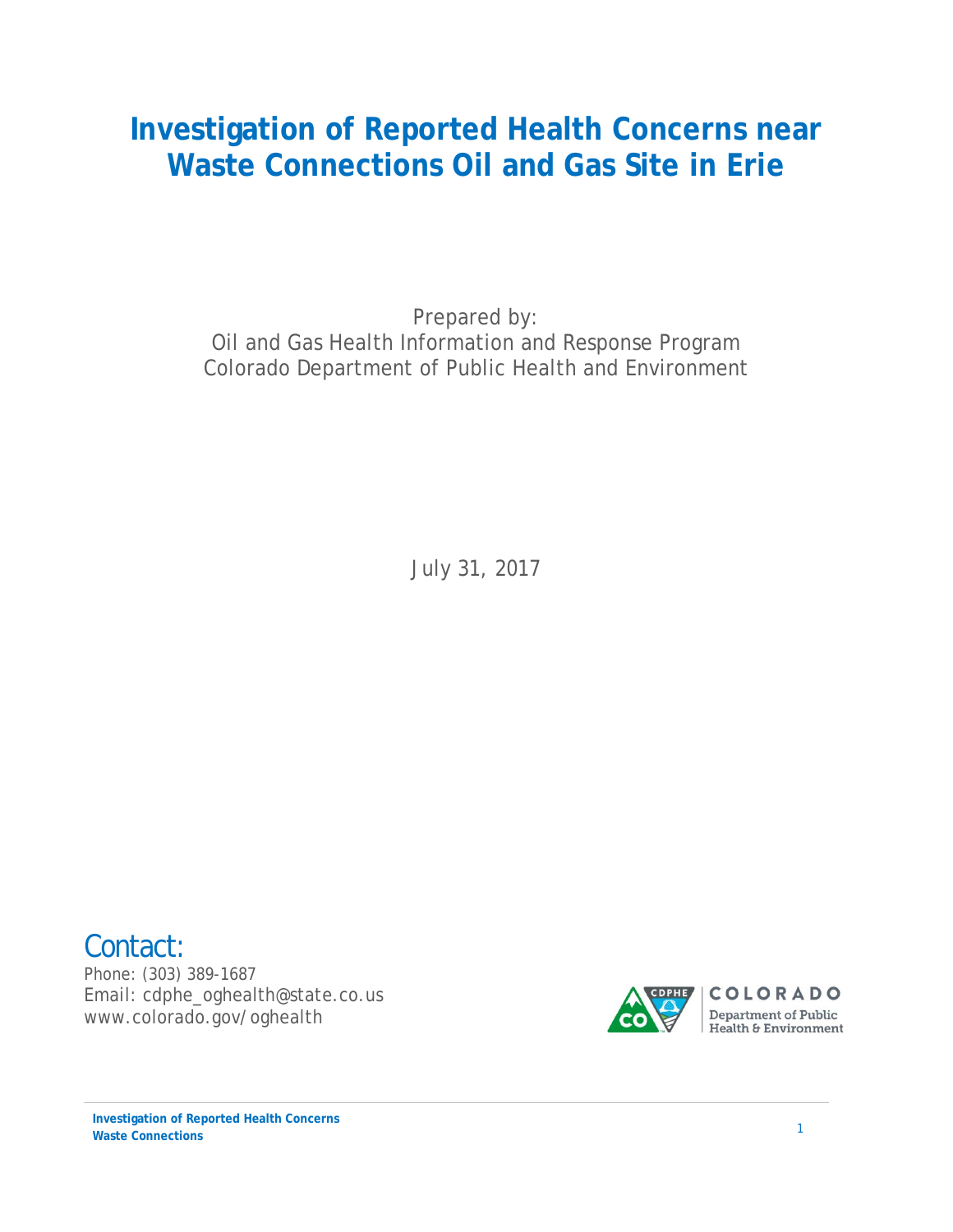# **Investigation of Reported Health Concerns near Waste Connections Oil and Gas Site in Erie**

Prepared by: Oil and Gas Health Information and Response Program Colorado Department of Public Health and Environment

July 31, 2017

# Contact:

Phone: (303) 389-1687 Email: cdphe\_oghealth@state.co.us [www.colorado.gov/oghealth](http://www.colorado.gov/oghealth)

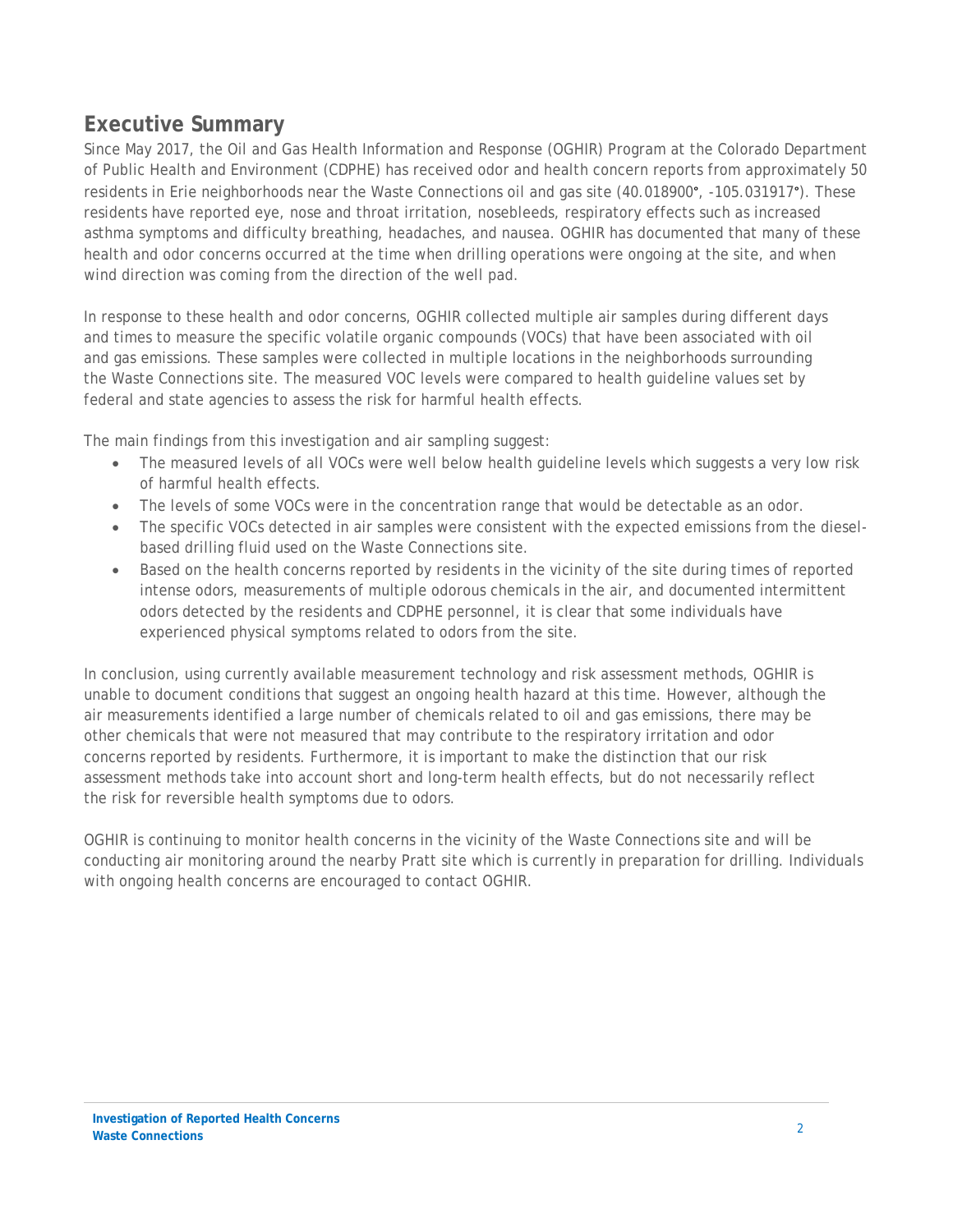## **Executive Summary**

Since May 2017, the Oil and Gas Health Information and Response (OGHIR) Program at the Colorado Department of Public Health and Environment (CDPHE) has received odor and health concern reports from approximately 50 residents in Erie neighborhoods near the Waste Connections oil and gas site (40.018900°, -105.031917°). These residents have reported eye, nose and throat irritation, nosebleeds, respiratory effects such as increased asthma symptoms and difficulty breathing, headaches, and nausea. OGHIR has documented that many of these health and odor concerns occurred at the time when drilling operations were ongoing at the site, and when wind direction was coming from the direction of the well pad.

In response to these health and odor concerns, OGHIR collected multiple air samples during different days and times to measure the specific volatile organic compounds (VOCs) that have been associated with oil and gas emissions. These samples were collected in multiple locations in the neighborhoods surrounding the Waste Connections site. The measured VOC levels were compared to health guideline values set by federal and state agencies to assess the risk for harmful health effects.

The main findings from this investigation and air sampling suggest:

- The measured levels of all VOCs were well below health guideline levels which suggests a very low risk of harmful health effects.
- The levels of some VOCs were in the concentration range that would be detectable as an odor.
- The specific VOCs detected in air samples were consistent with the expected emissions from the dieselbased drilling fluid used on the Waste Connections site.
- Based on the health concerns reported by residents in the vicinity of the site during times of reported intense odors, measurements of multiple odorous chemicals in the air, and documented intermittent odors detected by the residents and CDPHE personnel, it is clear that some individuals have experienced physical symptoms related to odors from the site.

In conclusion, using currently available measurement technology and risk assessment methods, OGHIR is unable to document conditions that suggest an ongoing health hazard at this time. However, although the air measurements identified a large number of chemicals related to oil and gas emissions, there may be other chemicals that were not measured that may contribute to the respiratory irritation and odor concerns reported by residents. Furthermore, it is important to make the distinction that our risk assessment methods take into account short and long-term health effects, but do not necessarily reflect the risk for reversible health symptoms due to odors.

OGHIR is continuing to monitor health concerns in the vicinity of the Waste Connections site and will be conducting air monitoring around the nearby Pratt site which is currently in preparation for drilling. Individuals with ongoing health concerns are encouraged to contact OGHIR.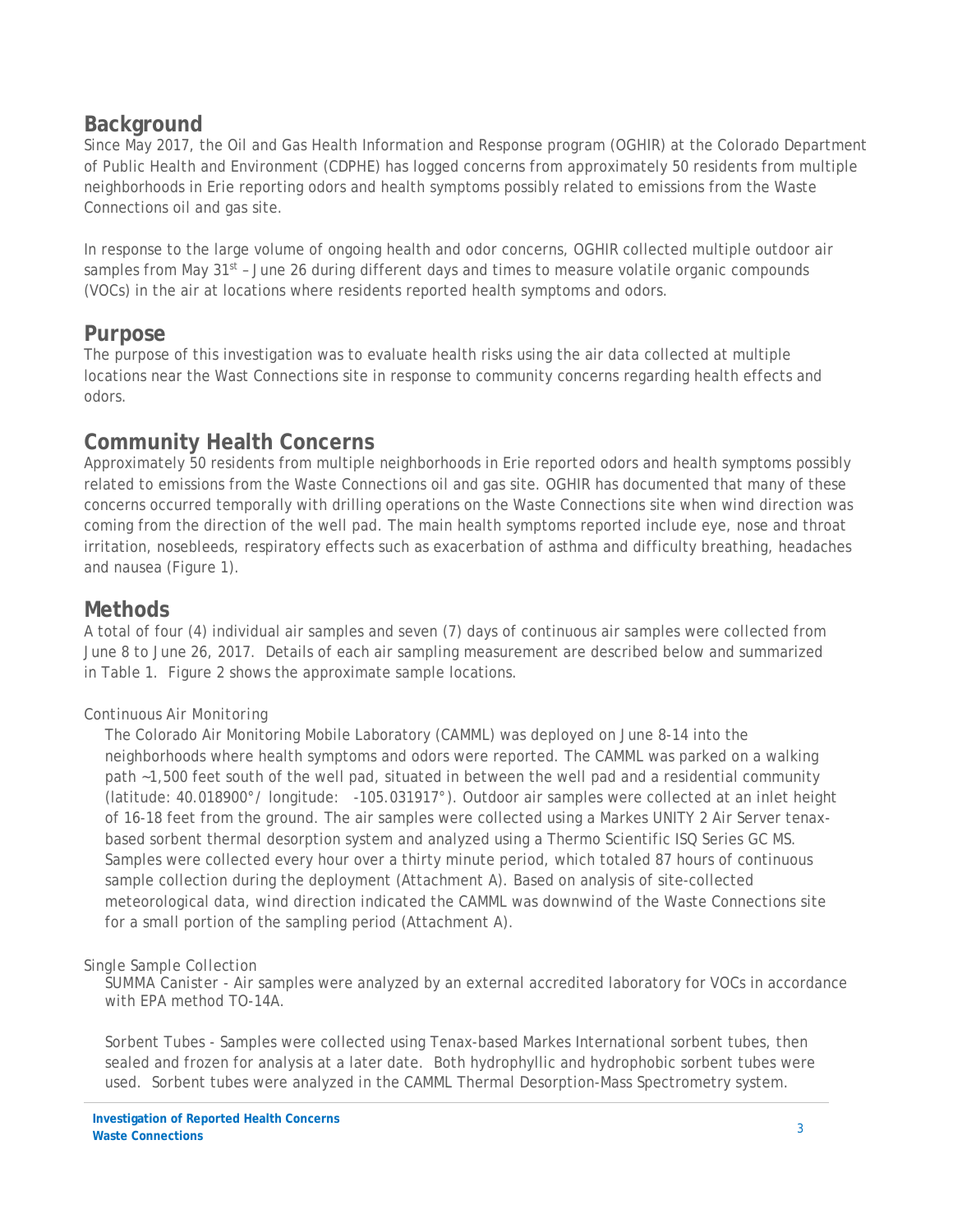### **Background**

Since May 2017, the Oil and Gas Health Information and Response program (OGHIR) at the Colorado Department of Public Health and Environment (CDPHE) has logged concerns from approximately 50 residents from multiple neighborhoods in Erie reporting odors and health symptoms possibly related to emissions from the Waste Connections oil and gas site.

In response to the large volume of ongoing health and odor concerns, OGHIR collected multiple outdoor air samples from May  $31<sup>st</sup>$  – June 26 during different days and times to measure volatile organic compounds (VOCs) in the air at locations where residents reported health symptoms and odors.

### **Purpose**

The purpose of this investigation was to evaluate health risks using the air data collected at multiple locations near the Wast Connections site in response to community concerns regarding health effects and odors.

## **Community Health Concerns**

Approximately 50 residents from multiple neighborhoods in Erie reported odors and health symptoms possibly related to emissions from the Waste Connections oil and gas site. OGHIR has documented that many of these concerns occurred temporally with drilling operations on the Waste Connections site when wind direction was coming from the direction of the well pad. The main health symptoms reported include eye, nose and throat irritation, nosebleeds, respiratory effects such as exacerbation of asthma and difficulty breathing, headaches and nausea (Figure 1).

### **Methods**

A total of four (4) individual air samples and seven (7) days of continuous air samples were collected from June 8 to June 26, 2017. Details of each air sampling measurement are described below and summarized in Table 1. Figure 2 shows the approximate sample locations.

### *Continuous Air Monitoring*

The Colorado Air Monitoring Mobile Laboratory (CAMML) was deployed on June 8-14 into the neighborhoods where health symptoms and odors were reported. The CAMML was parked on a walking path ~1,500 feet south of the well pad, situated in between the well pad and a residential community (latitude: 40.018900°/ longitude: -105.031917°). Outdoor air samples were collected at an inlet height of 16-18 feet from the ground. The air samples were collected using a Markes UNITY 2 Air Server tenaxbased sorbent thermal desorption system and analyzed using a Thermo Scientific ISQ Series GC MS. Samples were collected every hour over a thirty minute period, which totaled 87 hours of continuous sample collection during the deployment (Attachment A). Based on analysis of site-collected meteorological data, wind direction indicated the CAMML was downwind of the Waste Connections site for a small portion of the sampling period (Attachment A).

#### *Single Sample Collection*

*SUMMA Canister* - Air samples were analyzed by an external accredited laboratory for VOCs in accordance with EPA method TO-14A.

*Sorbent Tubes -* Samples were collected using Tenax-based Markes International sorbent tubes, then sealed and frozen for analysis at a later date. Both hydrophyllic and hydrophobic sorbent tubes were used. Sorbent tubes were analyzed in the CAMML Thermal Desorption-Mass Spectrometry system.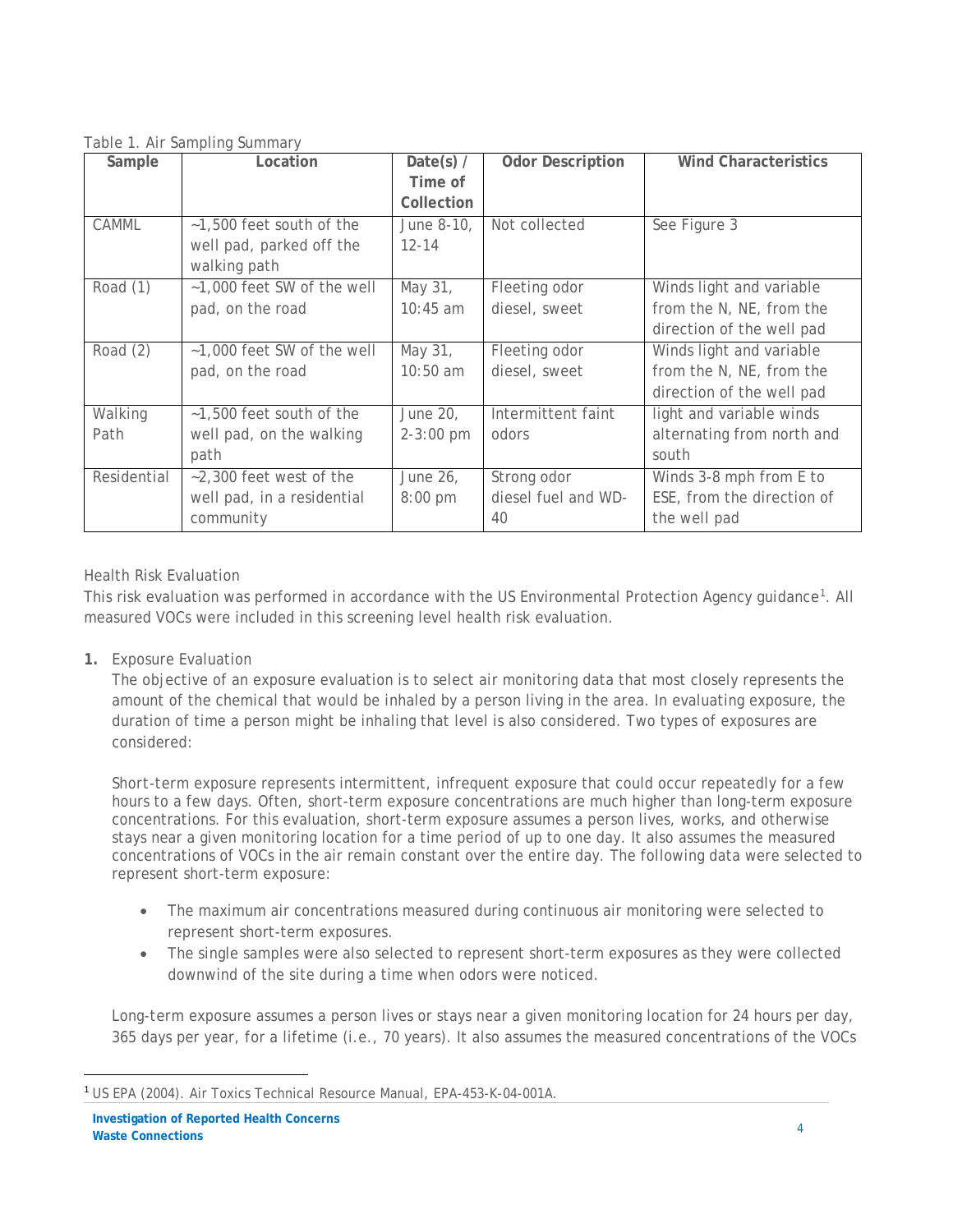| Sample      | Location                   | Date(s) $/$   | <b>Odor Description</b> | <b>Wind Characteristics</b> |
|-------------|----------------------------|---------------|-------------------------|-----------------------------|
|             |                            | Time of       |                         |                             |
|             |                            | Collection    |                         |                             |
| CAMML       | ~1,500 feet south of the   | June 8-10,    | Not collected           | See Figure 3                |
|             | well pad, parked off the   | $12 - 14$     |                         |                             |
|             | walking path               |               |                         |                             |
| Road $(1)$  | ~1,000 feet SW of the well | May 31,       | Fleeting odor           | Winds light and variable    |
|             | pad, on the road           | $10:45$ am    | diesel, sweet           | from the N, NE, from the    |
|             |                            |               |                         | direction of the well pad   |
| Road $(2)$  | ~1,000 feet SW of the well | May 31,       | Fleeting odor           | Winds light and variable    |
|             | pad, on the road           | $10:50$ am    | diesel, sweet           | from the N, NE, from the    |
|             |                            |               |                         | direction of the well pad   |
| Walking     | ~1,500 feet south of the   | June 20,      | Intermittent faint      | light and variable winds    |
| Path        | well pad, on the walking   | $2 - 3:00$ pm | odors                   | alternating from north and  |
|             | path                       |               |                         | south                       |
| Residential | $-2,300$ feet west of the  | June 26,      | Strong odor             | Winds 3-8 mph from E to     |
|             | well pad, in a residential | $8:00$ pm     | diesel fuel and WD-     | ESE, from the direction of  |
|             | community                  |               | 40                      | the well pad                |

Table 1. Air Sampling Summary

#### Health Risk Evaluation

This risk evaluation was performed in accordance with the US Environmental Protection Agency guidance<sup>[1](#page-3-0)</sup>. All measured VOCs were included in this screening level health risk evaluation.

**1.** Exposure Evaluation

The objective of an exposure evaluation is to select air monitoring data that most closely represents the amount of the chemical that would be inhaled by a person living in the area. In evaluating exposure, the duration of time a person might be inhaling that level is also considered. Two types of exposures are considered:

*Short-term* exposure represents intermittent, infrequent exposure that could occur repeatedly for a few hours to a few days. Often, short-term exposure concentrations are much higher than long-term exposure concentrations. For this evaluation, short-term exposure assumes a person lives, works, and otherwise stays near a given monitoring location for a time period of up to one day. It also assumes the measured concentrations of VOCs in the air remain constant over the entire day. The following data were selected to represent short-term exposure:

- The maximum air concentrations measured during continuous air monitoring were selected to represent short-term exposures.
- The single samples were also selected to represent short-term exposures as they were collected downwind of the site during a time when odors were noticed.

*Long-term* exposure assumes a person lives or stays near a given monitoring location for 24 hours per day, 365 days per year, for a lifetime (i.e., 70 years). It also assumes the measured concentrations of the VOCs

<span id="page-3-0"></span> <sup>1</sup> US EPA (2004). Air Toxics Technical Resource Manual, EPA-453-K-04-001A.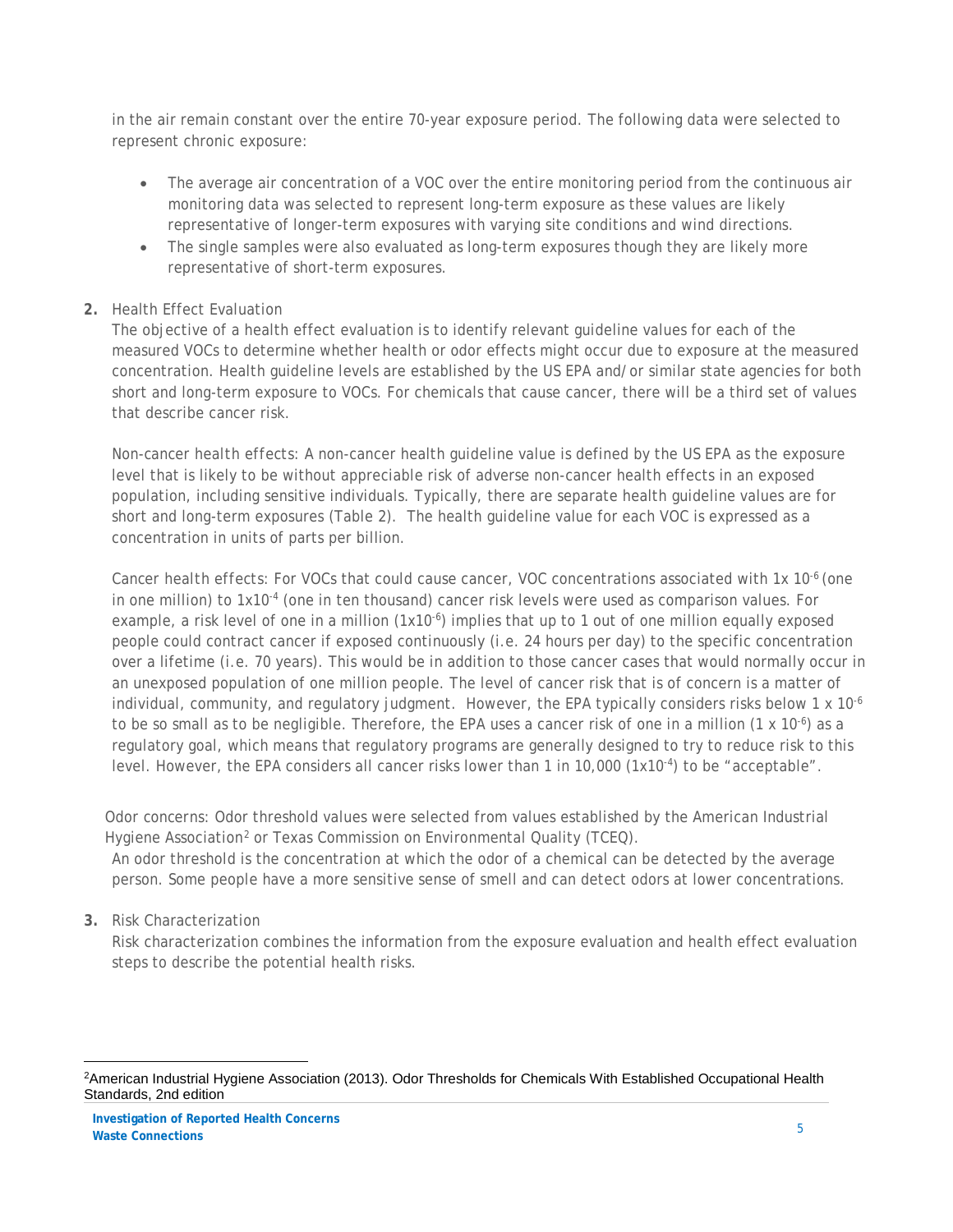in the air remain constant over the entire 70-year exposure period. The following data were selected to represent chronic exposure:

- The average air concentration of a VOC over the entire monitoring period from the continuous air monitoring data was selected to represent long-term exposure as these values are likely representative of longer-term exposures with varying site conditions and wind directions.
- The single samples were also evaluated as long-term exposures though they are likely more representative of short-term exposures.

#### **2.** Health Effect Evaluation

The objective of a health effect evaluation is to identify relevant guideline values for each of the measured VOCs to determine whether health or odor effects might occur due to exposure at the measured concentration. Health guideline levels are established by the US EPA and/or similar state agencies for both short and long-term exposure to VOCs. For chemicals that cause cancer, there will be a third set of values that describe cancer risk.

*Non-cancer health effects:* A non-cancer health guideline value is defined by the US EPA as the exposure level that is likely to be without appreciable risk of adverse non-cancer health effects in an exposed population, including sensitive individuals. Typically, there are separate health guideline values are for short and long-term exposures (Table 2). The health guideline value for each VOC is expressed as a concentration in units of parts per billion.

*Cancer health effects:* For VOCs that could cause cancer, VOC concentrations associated with 1x 10-6 (one in one million) to 1x10-4 (one in ten thousand) cancer risk levels were used as comparison values. For example, a risk level of one in a million (1x10<sup>-6</sup>) implies that up to 1 out of one million equally exposed people could contract cancer if exposed continuously (i.e. 24 hours per day) to the specific concentration over a lifetime (i.e. 70 years). This would be in addition to those cancer cases that would normally occur in an unexposed population of one million people. The level of cancer risk that is of concern is a matter of individual, community, and regulatory judgment. However, the EPA typically considers risks below 1  $\times$  10<sup>-6</sup> to be so small as to be negligible. Therefore, the EPA uses a cancer risk of one in a million (1 x 10<sup>-6</sup>) as a regulatory goal, which means that regulatory programs are generally designed to try to reduce risk to this level. However, the EPA considers all cancer risks lower than 1 in 10,000 (1x10<sup>-4</sup>) to be "acceptable".

*Odor concerns*: Odor threshold values were selected from values established by the American Industrial Hygiene Association<sup>[2](#page-4-0)</sup> or Texas Commission on Environmental Quality (TCEQ).

An odor threshold is the concentration at which the odor of a chemical can be detected by the average person. Some people have a more sensitive sense of smell and can detect odors at lower concentrations.

**3.** Risk Characterization

 $\overline{\phantom{a}}$ 

Risk characterization combines the information from the exposure evaluation and health effect evaluation steps to describe the potential health risks.

<span id="page-4-0"></span><sup>2</sup>American Industrial Hygiene Association (2013). Odor Thresholds for Chemicals With Established Occupational Health Standards, 2nd edition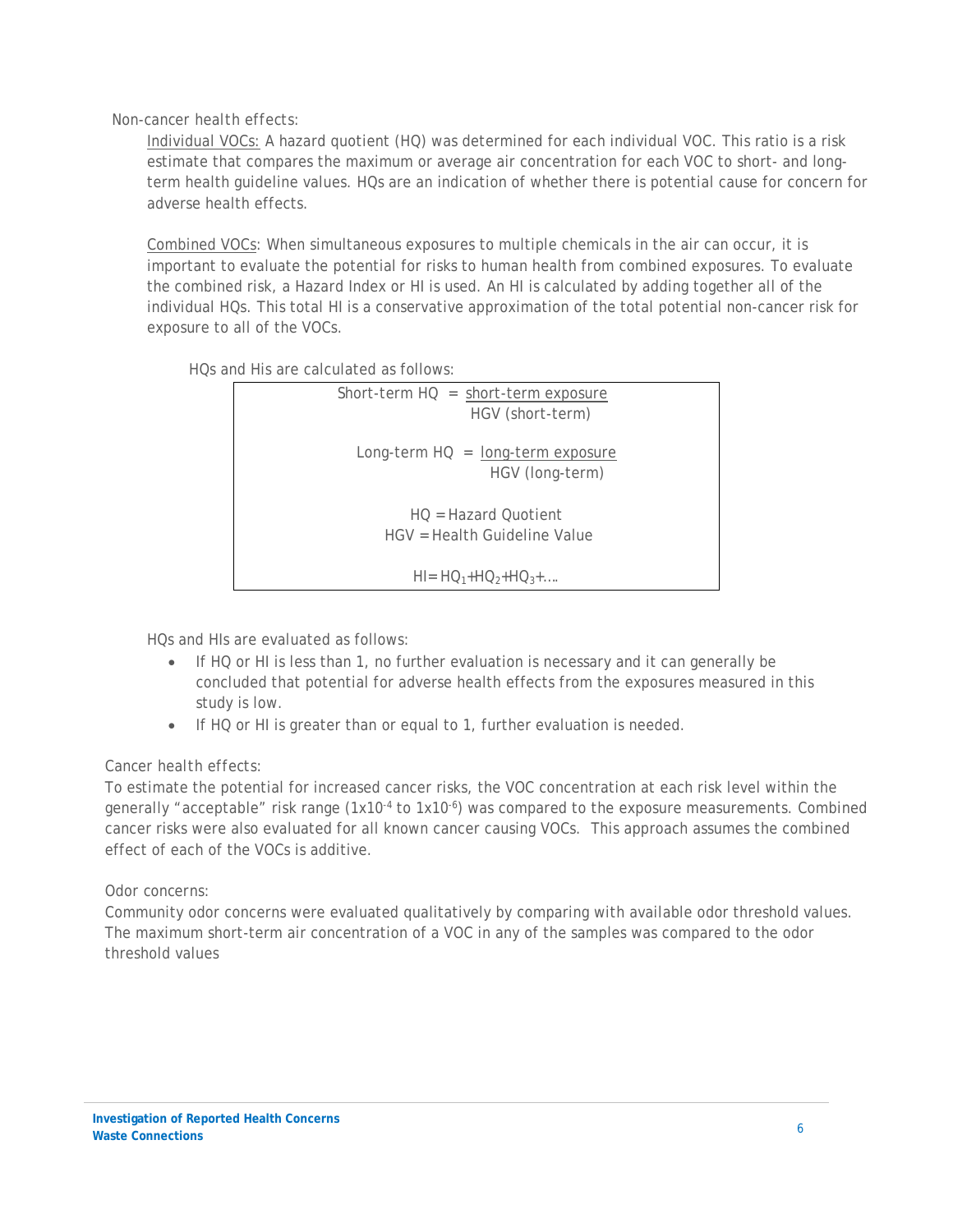*Non-cancer health effects:* 

Individual VOCs: A hazard quotient (HQ) was determined for each individual VOC. This ratio is a risk estimate that compares the maximum or average air concentration for each VOC to short- and longterm health guideline values. HQs are an indication of whether there is potential cause for concern for adverse health effects.

Combined VOCs: When simultaneous exposures to multiple chemicals in the air can occur, it is important to evaluate the potential for risks to human health from combined exposures. To evaluate the combined risk, a Hazard Index or HI is used. An HI is calculated by adding together all of the individual HQs. This total HI is a conservative approximation of the total potential non-cancer risk for exposure to all of the VOCs.

HQs and His are calculated as follows:

|                                        | $Short-term HO = short-term exposure$ |  |  |  |  |
|----------------------------------------|---------------------------------------|--|--|--|--|
|                                        | HGV (short-term)                      |  |  |  |  |
|                                        |                                       |  |  |  |  |
|                                        | $Long-term HO = long-term exposure$   |  |  |  |  |
|                                        | HGV (long-term)                       |  |  |  |  |
|                                        |                                       |  |  |  |  |
| $HO = Hazard Quotient$                 |                                       |  |  |  |  |
|                                        | HGV = Health Guideline Value          |  |  |  |  |
|                                        |                                       |  |  |  |  |
| $H = HQ_{1} + HO_{2} + HO_{3} + \dots$ |                                       |  |  |  |  |

HQs and HIs are evaluated as follows:

- If HQ or HI is less than 1, no further evaluation is necessary and it can generally be concluded that potential for adverse health effects from the exposures measured in this study is low.
- If HQ or HI is greater than or equal to 1, further evaluation is needed.

#### *Cancer health effects:*

To estimate the potential for increased cancer risks, the VOC concentration at each risk level within the generally "acceptable" risk range (1x10<sup>-4</sup> to 1x10<sup>-6</sup>) was compared to the exposure measurements. Combined cancer risks were also evaluated for all known cancer causing VOCs. This approach assumes the combined effect of each of the VOCs is additive.

#### *Odor concerns:*

Community odor concerns were evaluated qualitatively by comparing with available odor threshold values. The maximum short-term air concentration of a VOC in any of the samples was compared to the odor threshold values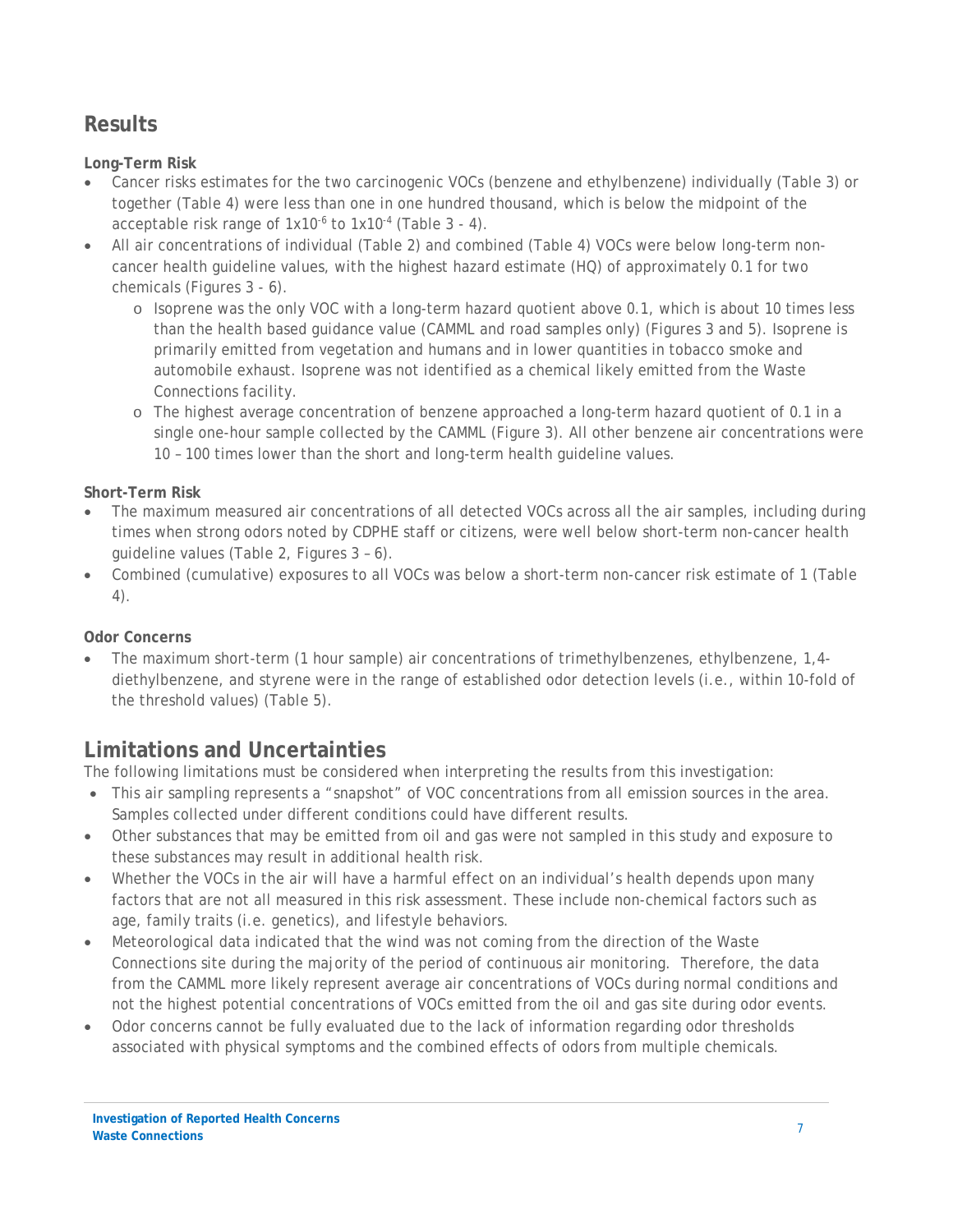# **Results**

**Long-Term Risk**

- Cancer risks estimates for the two carcinogenic VOCs (benzene and ethylbenzene) individually (Table 3) or together (Table 4) were less than one in one hundred thousand, which is below the midpoint of the acceptable risk range of  $1x10^{-6}$  to  $1x10^{-4}$  (Table 3 - 4).
- All air concentrations of individual (Table 2) and combined (Table 4) VOCs were below long-term noncancer health guideline values, with the highest hazard estimate (HQ) of approximately 0.1 for two chemicals (Figures 3 - 6).
	- o Isoprene was the only VOC with a long-term hazard quotient above 0.1, which is about 10 times less than the health based guidance value (CAMML and road samples only) (Figures 3 and 5). Isoprene is primarily emitted from vegetation and humans and in lower quantities in tobacco smoke and automobile exhaust. Isoprene was not identified as a chemical likely emitted from the Waste Connections facility.
	- o The highest average concentration of benzene approached a long-term hazard quotient of 0.1 in a single one-hour sample collected by the CAMML (Figure 3). All other benzene air concentrations were 10 – 100 times lower than the short and long-term health guideline values.

### **Short-Term Risk**

- The maximum measured air concentrations of all detected VOCs across all the air samples, including during times when strong odors noted by CDPHE staff or citizens, were well below short-term non-cancer health guideline values (Table 2, Figures 3 – 6).
- Combined (cumulative) exposures to all VOCs was below a short-term non-cancer risk estimate of 1 (Table 4).

### **Odor Concerns**

The maximum short-term (1 hour sample) air concentrations of trimethylbenzenes, ethylbenzene, 1,4diethylbenzene, and styrene were in the range of established odor detection levels (i.e., within 10-fold of the threshold values) (Table 5).

# **Limitations and Uncertainties**

The following limitations must be considered when interpreting the results from this investigation:

- This air sampling represents a "snapshot" of VOC concentrations from all emission sources in the area. Samples collected under different conditions could have different results.
- Other substances that may be emitted from oil and gas were not sampled in this study and exposure to these substances may result in additional health risk.
- Whether the VOCs in the air will have a harmful effect on an individual's health depends upon many factors that are not all measured in this risk assessment. These include non-chemical factors such as age, family traits (i.e. genetics), and lifestyle behaviors.
- Meteorological data indicated that the wind was not coming from the direction of the Waste Connections site during the majority of the period of continuous air monitoring. Therefore, the data from the CAMML more likely represent average air concentrations of VOCs during normal conditions and not the highest potential concentrations of VOCs emitted from the oil and gas site during odor events.
- Odor concerns cannot be fully evaluated due to the lack of information regarding odor thresholds associated with physical symptoms and the combined effects of odors from multiple chemicals.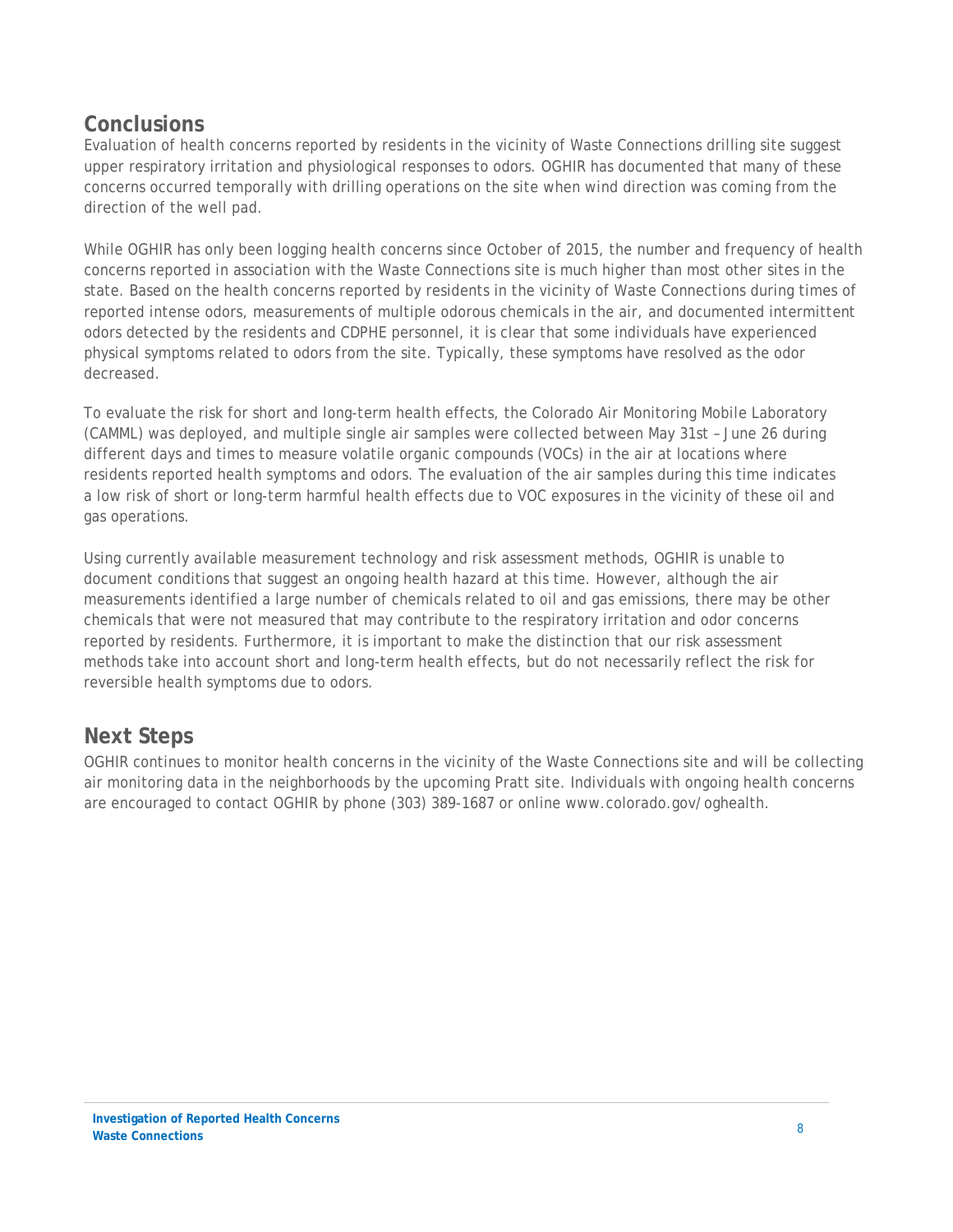# **Conclusions**

Evaluation of health concerns reported by residents in the vicinity of Waste Connections drilling site suggest upper respiratory irritation and physiological responses to odors. OGHIR has documented that many of these concerns occurred temporally with drilling operations on the site when wind direction was coming from the direction of the well pad.

While OGHIR has only been logging health concerns since October of 2015, the number and frequency of health concerns reported in association with the Waste Connections site is much higher than most other sites in the state. Based on the health concerns reported by residents in the vicinity of Waste Connections during times of reported intense odors, measurements of multiple odorous chemicals in the air, and documented intermittent odors detected by the residents and CDPHE personnel, it is clear that some individuals have experienced physical symptoms related to odors from the site. Typically, these symptoms have resolved as the odor decreased.

To evaluate the risk for short and long-term health effects, the Colorado Air Monitoring Mobile Laboratory (CAMML) was deployed, and multiple single air samples were collected between May 31st – June 26 during different days and times to measure volatile organic compounds (VOCs) in the air at locations where residents reported health symptoms and odors. The evaluation of the air samples during this time indicates a low risk of short or long-term harmful health effects due to VOC exposures in the vicinity of these oil and gas operations.

Using currently available measurement technology and risk assessment methods, OGHIR is unable to document conditions that suggest an ongoing health hazard at this time. However, although the air measurements identified a large number of chemicals related to oil and gas emissions, there may be other chemicals that were not measured that may contribute to the respiratory irritation and odor concerns reported by residents. Furthermore, it is important to make the distinction that our risk assessment methods take into account short and long-term health effects, but do not necessarily reflect the risk for reversible health symptoms due to odors.

# **Next Steps**

OGHIR continues to monitor health concerns in the vicinity of the Waste Connections site and will be collecting air monitoring data in the neighborhoods by the upcoming Pratt site. Individuals with ongoing health concerns are encouraged to contact OGHIR by phone (303) 389-1687 or online [www.colorado.gov/oghealth.](http://www.colorado.gov/oghealth)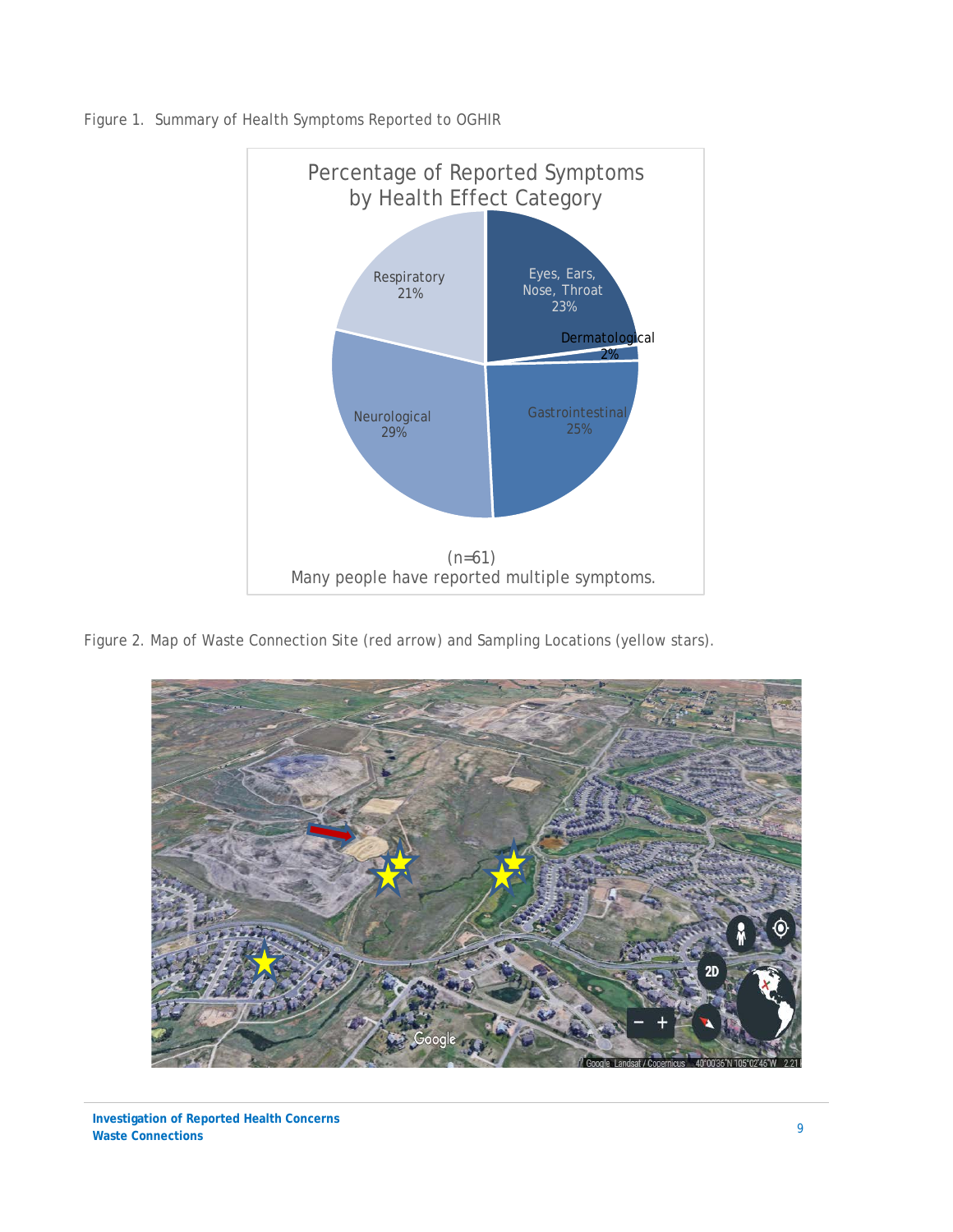

Figure 1. Summary of Health Symptoms Reported to OGHIR

Figure 2. Map of Waste Connection Site (red arrow) and Sampling Locations (yellow stars).

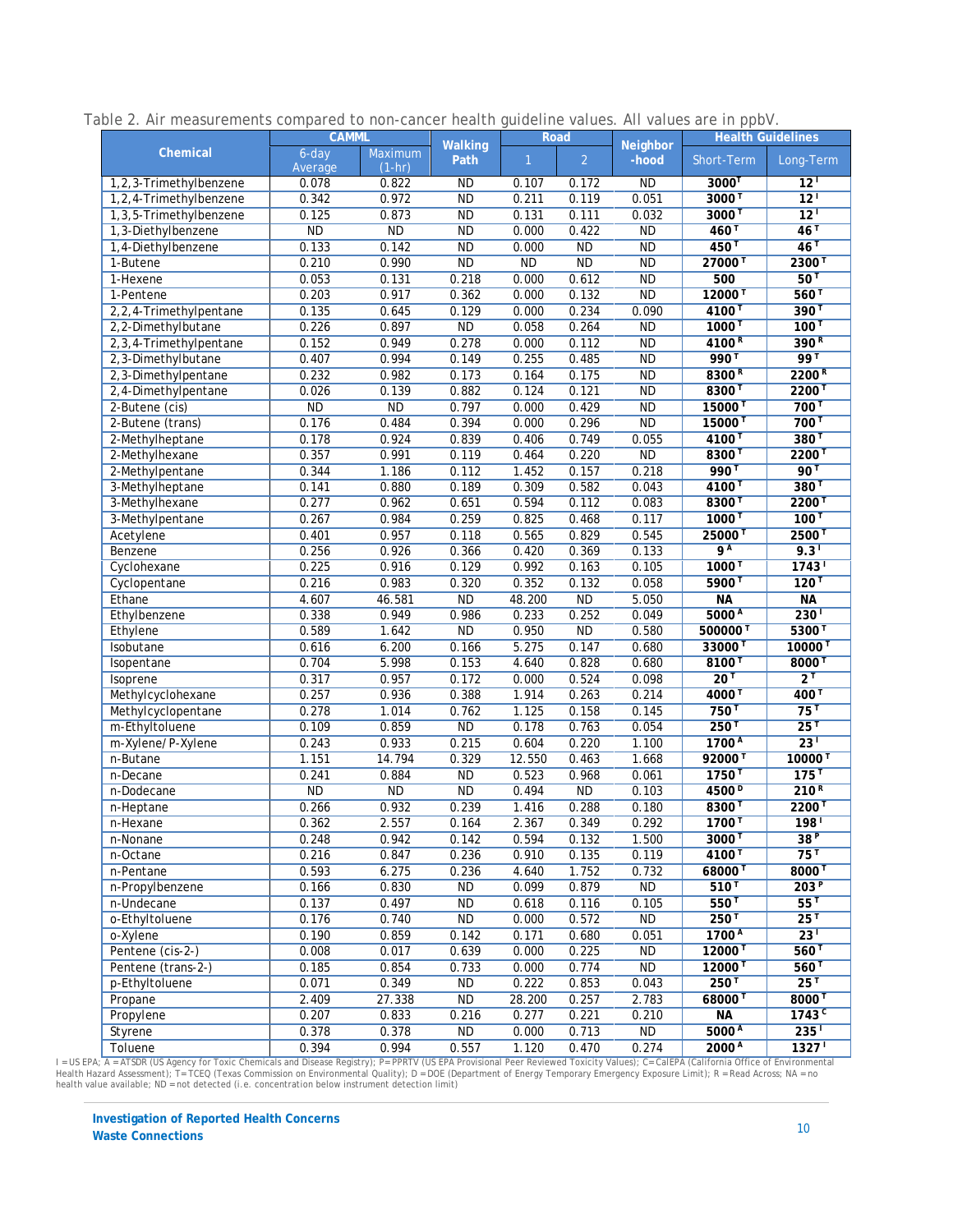| able 2. Air fileasulentents compared to non-cancer health guideline values. Air values are in ppbv. | <b>CAMML</b>     |                     |                 | Road            |                 |                   |                     | <b>Health Guidelines</b>     |
|-----------------------------------------------------------------------------------------------------|------------------|---------------------|-----------------|-----------------|-----------------|-------------------|---------------------|------------------------------|
| Chemical                                                                                            | 6-day<br>Average | Maximum<br>$(1-hr)$ | Walking<br>Path | $\mathbf{1}$    | $\overline{2}$  | Neighbor<br>-hood | Short-Term          | Long-Term                    |
| 1,2,3-Trimethylbenzene                                                                              | 0.078            | 0.822               | <b>ND</b>       | 0.107           | 0.172           | ND                | 3000 <sup>T</sup>   | $\overline{12}$ <sup>1</sup> |
| 1,2,4-Trimethylbenzene                                                                              | 0.342            | 0.972               | <b>ND</b>       | 0.211           | 0.119           | 0.051             | $3000^{\top}$       | 12 <sup>1</sup>              |
| 1,3,5-Trimethylbenzene                                                                              | 0.125            | 0.873               | ND              | 0.131           | 0.111           | 0.032             | 3000 <sup>T</sup>   | 12 <sup>1</sup>              |
| 1,3-Diethylbenzene                                                                                  | $\overline{ND}$  | $\overline{ND}$     | ND              | 0.000           | 0.422           | ND                | 460 <sup>T</sup>    | 46 <sup>T</sup>              |
| 1,4-Diethylbenzene                                                                                  | 0.133            | 0.142               | <b>ND</b>       | 0.000           | <b>ND</b>       | <b>ND</b>         | 450 <sup>T</sup>    | 46 <sup>T</sup>              |
| 1-Butene                                                                                            | 0.210            | 0.990               | ND              | $\overline{ND}$ | ND              | ND                | 27000 ™             | 2300 <sup>T</sup>            |
| 1-Hexene                                                                                            | 0.053            | 0.131               | 0.218           | 0.000           | 0.612           | ND                | 500                 | 50 <sup>T</sup>              |
| 1-Pentene                                                                                           | 0.203            | 0.917               | 0.362           | 0.000           | 0.132           | ND                | 12000 <sup>T</sup>  | 560 <sup>T</sup>             |
| 2,2,4-Trimethylpentane                                                                              | 0.135            | 0.645               | 0.129           | 0.000           | 0.234           | 0.090             | 4100 ™              | 390 <sup>T</sup>             |
| 2,2-Dimethylbutane                                                                                  | 0.226            | 0.897               | ND              | 0.058           | 0.264           | ND                | $1000^{\top}$       | 100 <sup>T</sup>             |
| 2,3,4-Trimethylpentane                                                                              | 0.152            | 0.949               | 0.278           | 0.000           | 0.112           | ND                | 4100R               | 390R                         |
| 2,3-Dimethylbutane                                                                                  | 0.407            | 0.994               | 0.149           | 0.255           | 0.485           | <b>ND</b>         | 990 <sup>T</sup>    | 99 <sup>T</sup>              |
| 2,3-Dimethylpentane                                                                                 | 0.232            | 0.982               | 0.173           | 0.164           | 0.175           | ND                | 8300 <sup>R</sup>   | 2200 <sup>R</sup>            |
| 2,4-Dimethylpentane                                                                                 | 0.026            | 0.139               | 0.882           | 0.124           | 0.121           | ND                | 8300 <sup>T</sup>   | $2200^T$                     |
| 2-Butene (cis)                                                                                      | $\overline{ND}$  | $\overline{ND}$     | 0.797           | 0.000           | 0.429           | <b>ND</b>         | 15000™              | 700 <sup>T</sup>             |
| 2-Butene (trans)                                                                                    | 0.176            | 0.484               | 0.394           | 0.000           | 0.296           | ND                | 15000 <sup>T</sup>  | 700 <sup>T</sup>             |
| 2-Methylheptane                                                                                     | 0.178            | 0.924               | 0.839           | 0.406           | 0.749           | 0.055             | 4100 <sup>T</sup>   | 380 <sup>T</sup>             |
| 2-Methylhexane                                                                                      | 0.357            | 0.991               | 0.119           | 0.464           | 0.220           | ND                | 8300 <sup>T</sup>   | $2200^T$                     |
| 2-Methylpentane                                                                                     | 0.344            | 1.186               | 0.112           | 1.452           | 0.157           | 0.218             | 990 <sup>T</sup>    | $90^{\top}$                  |
| 3-Methylheptane                                                                                     | 0.141            | 0.880               | 0.189           | 0.309           | 0.582           | 0.043             | 4100 ™              | 380 <sup>T</sup>             |
| 3-Methylhexane                                                                                      | 0.277            | 0.962               | 0.651           | 0.594           | 0.112           | 0.083             | 8300™               | $2200^T$                     |
| 3-Methylpentane                                                                                     | 0.267            | 0.984               | 0.259           | 0.825           | 0.468           | 0.117             | 1000 <sup>T</sup>   | 100 <sup>T</sup>             |
| Acetylene                                                                                           | 0.401            | 0.957               | 0.118           | 0.565           | 0.829           | 0.545             | 25000 <sup>T</sup>  | 2500 <sup>T</sup>            |
| Benzene                                                                                             | 0.256            | 0.926               | 0.366           | 0.420           | 0.369           | 0.133             | 9 <sup>A</sup>      | 9.3 <sup>1</sup>             |
| Cyclohexane                                                                                         | 0.225            | 0.916               | 0.129           | 0.992           | 0.163           | 0.105             | 1000 <sup>T</sup>   | $1743$ <sup>1</sup>          |
| Cyclopentane                                                                                        | 0.216            | 0.983               | 0.320           | 0.352           | 0.132           | 0.058             | 5900 <sup>T</sup>   | 120 <sup>T</sup>             |
| Ethane                                                                                              | 4.607            | 46.581              | ND              | 48.200          | ND              | 5.050             | <b>NA</b>           | NA                           |
| Ethylbenzene                                                                                        | 0.338            | 0.949               | 0.986           | 0.233           | 0.252           | 0.049             | 5000 <sup>A</sup>   | 230 <sup>1</sup>             |
| Ethylene                                                                                            | 0.589            | 1.642               | ND              | 0.950           | ND              | 0.580             | 500000 <sup>T</sup> | $5300^{T}$                   |
| Isobutane                                                                                           | 0.616            | 6.200               | 0.166           | 5.275           | 0.147           | 0.680             | 33000™              | 10000 <sup>T</sup>           |
|                                                                                                     |                  | 5.998               | 0.153           | 4.640           | 0.828           | 0.680             | 8100 <sup>T</sup>   | 8000 <sup>T</sup>            |
| Isopentane                                                                                          | 0.704<br>0.317   | 0.957               | 0.172           | 0.000           | 0.524           | 0.098             | 20 <sup>T</sup>     | $2^{\top}$                   |
| Isoprene<br>Methylcyclohexane                                                                       | 0.257            | 0.936               | 0.388           | 1.914           | 0.263           | 0.214             | 4000 <sup>T</sup>   | 400 <sup>T</sup>             |
|                                                                                                     | 0.278            | 1.014               |                 | 1.125           |                 |                   | 750 <sup>T</sup>    | 75 <sup>T</sup>              |
| Methylcyclopentane                                                                                  | 0.109            | 0.859               | 0.762<br>ND     | 0.178           | 0.158           | 0.145<br>0.054    | 250 <sup>T</sup>    | 25 <sup>T</sup>              |
| m-Ethyltoluene                                                                                      |                  |                     |                 |                 | 0.763           |                   | 1700 <sup>A</sup>   | 23 <sup>1</sup>              |
| m-Xylene/P-Xylene                                                                                   | 0.243            | 0.933               | 0.215           | 0.604           | 0.220           | 1.100             | 92000 <sup>T</sup>  |                              |
| n-Butane                                                                                            | 1.151            | 14.794              | 0.329           | 12.550          | 0.463           | 1.668             |                     | 10000 <sup>T</sup>           |
| n-Decane                                                                                            | 0.241            | 0.884               | ND              | 0.523           | 0.968           | 0.061             | $1750$ <sup>T</sup> | $175$ <sup>T</sup>           |
| n-Dodecane                                                                                          | $\overline{ND}$  | ND                  | ND              | 0.494           | $\overline{ND}$ | 0.103             | 4500 <sup>D</sup>   | 210 <sup>R</sup>             |
| n-Heptane                                                                                           | 0.266            | 0.932               | 0.239           | 1.416           | 0.288           | 0.180             | 8300™               | 2200 <sup>T</sup>            |
| n-Hexane                                                                                            | 0.362            | 2.557               | 0.164           | 2.367           | 0.349           | 0.292             | $1700^{\top}$       | 198 <sup>1</sup>             |
| n-Nonane                                                                                            | 0.248            | 0.942               | 0.142           | 0.594           | 0.132           | 1.500             | 3000 <sup>T</sup>   | 38 <sup>P</sup>              |
| n-Octane                                                                                            | 0.216            | 0.847               | 0.236           | 0.910           | 0.135           | 0.119             | 4100 <sup>T</sup>   | $75^{\mathrm{T}}$            |
| n-Pentane                                                                                           | 0.593            | 6.275               | 0.236           | 4.640           | 1.752           | 0.732             | 68000 <sup>T</sup>  | 8000T                        |
| n-Propylbenzene                                                                                     | 0.166            | 0.830               | <b>ND</b>       | 0.099           | 0.879           | ND                | 510 <sup>T</sup>    | 203 <sup>P</sup>             |
| n-Undecane                                                                                          | 0.137            | 0.497               | ND              | 0.618           | 0.116           | 0.105             | 550 <sup>T</sup>    | $55^{\mathrm{T}}$            |
| o-Ethyltoluene                                                                                      | 0.176            | 0.740               | <b>ND</b>       | 0.000           | 0.572           | <b>ND</b>         | 250 <sup>T</sup>    | 25 <sup>T</sup>              |
| o-Xylene                                                                                            | 0.190            | 0.859               | 0.142           | 0.171           | 0.680           | 0.051             | 1700 <sup>A</sup>   | 23 <sup>1</sup>              |
| Pentene (cis-2-)                                                                                    | 0.008            | 0.017               | 0.639           | 0.000           | 0.225           | ND                | 12000 <sup>T</sup>  | $560$ <sup>T</sup>           |
| Pentene (trans-2-)                                                                                  | 0.185            | 0.854               | 0.733           | 0.000           | 0.774           | <b>ND</b>         | 12000 <sup>T</sup>  | 560 <sup>T</sup>             |
| p-Ethyltoluene                                                                                      | 0.071            | 0.349               | <b>ND</b>       | 0.222           | 0.853           | 0.043             | 250 <sup>T</sup>    | 25 <sup>T</sup>              |
| Propane                                                                                             | 2.409            | 27.338              | <b>ND</b>       | 28.200          | 0.257           | 2.783             | 68000 ™             | $8000$ <sup>T</sup>          |
| Propylene                                                                                           | 0.207            | 0.833               | 0.216           | 0.277           | 0.221           | 0.210             | <b>NA</b>           | $1743$ <sup>c</sup>          |
| Styrene                                                                                             | 0.378            | 0.378               | <b>ND</b>       | 0.000           | 0.713           | <b>ND</b>         | 5000 <sup>A</sup>   | $235$ <sup>1</sup>           |
| Toluene                                                                                             | 0.394            | 0.994               | 0.557           | 1.120           | 0.470           | 0.274             | 2000 <sup>A</sup>   | $1327$ <sup>1</sup>          |

Table 2. Air measurements compared to non-cancer health guideline values. All values are in ppbV.

l = US EPA; A = ATSDR (US Agency for Toxic Chemicals and Disease Registry); P= PPRTV (US EPA Provisional Peer Reviewed Toxicity Values); C= CaIEPA (California Office of Environmental<br>Health Hazard Assessment); T= TCEQ (Te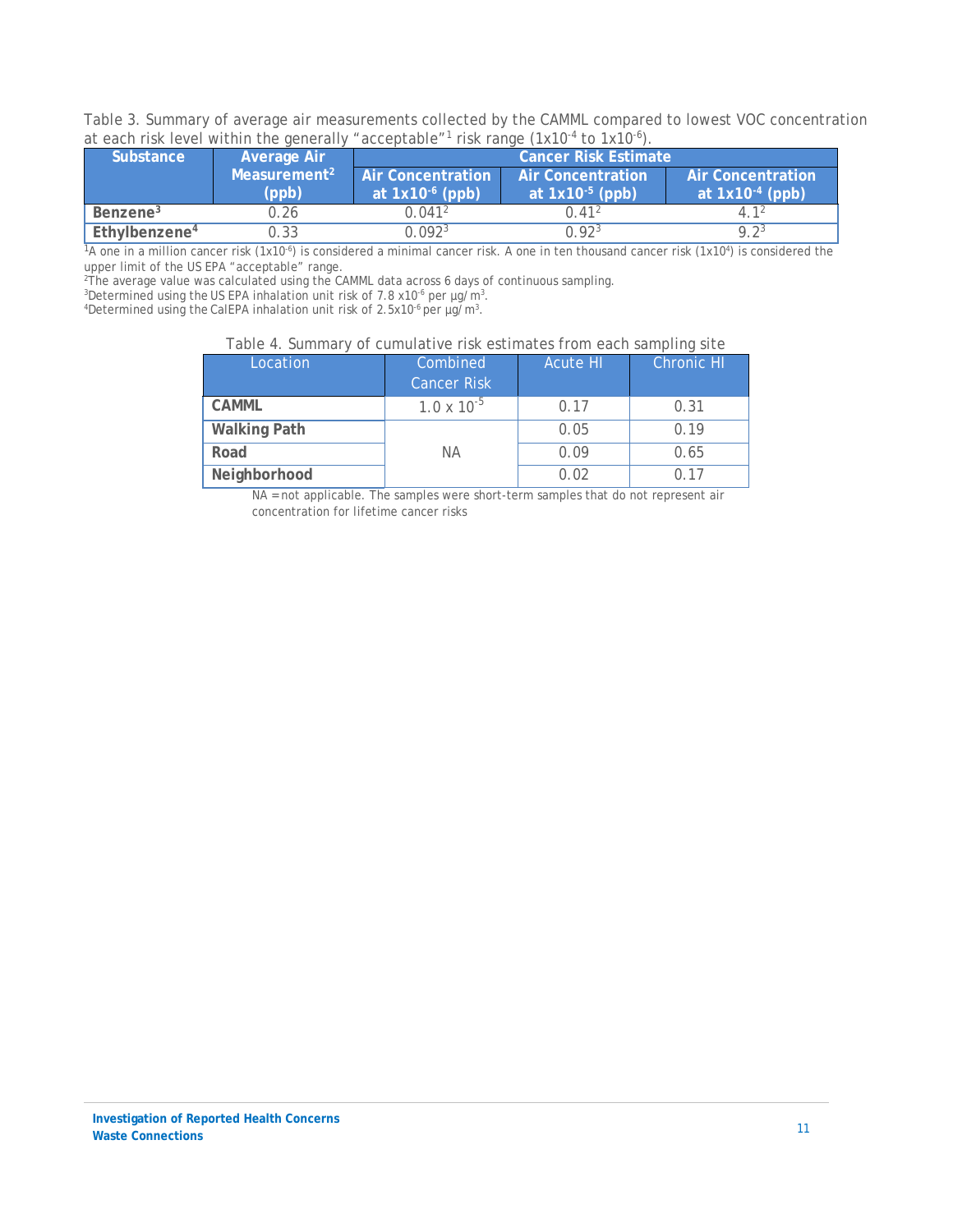Table 3. Summary of average air measurements collected by the CAMML compared to lowest VOC concentration at each risk level within the generally "acceptable"<sup>1</sup> risk range (1x10<sup>-4</sup> to 1x10<sup>-6</sup>).

| <b>Substance</b>          | Average Air                       | <b>Cancer Risk Estimate</b>               |                                                  |                                           |
|---------------------------|-----------------------------------|-------------------------------------------|--------------------------------------------------|-------------------------------------------|
|                           | Measurement <sup>2</sup><br>(dgg) | Air Concentration<br>at $1x10^{-6}$ (ppb) | <b>Air Concentration</b><br>at $1x10^{-5}$ (ppb) | Air Concentration<br>at $1x10^{-4}$ (ppb) |
| Benzene <sup>3</sup>      | 0.26                              | 0.041 <sup>2</sup>                        | 0.41 <sup>2</sup>                                |                                           |
| Ethylbenzene <sup>4</sup> | 0.33                              | 0.092 <sup>3</sup>                        | U 053                                            | Q 73                                      |

<sup>1</sup>A one in a million cancer risk (1x10<sup>-6</sup>) is considered a minimal cancer risk. A one in ten thousand cancer risk (1x10<sup>4</sup>) is considered the upper limit of the US EPA "acceptable" range.

<sup>2</sup>The average value was calculated using the CAMML data across 6 days of continuous sampling.<br><sup>3</sup>Determined using the US EPA inhalation unit risk of 7.8 x10<sup>.6</sup> per µg/m<sup>3</sup>.<br><sup>4</sup>Determined using the CalEPA inhalation unit

#### Table 4. Summary of cumulative risk estimates from each sampling site

| Location            | Combined<br><b>Cancer Risk</b> | <b>Acute HI</b> | <b>Chronic HI</b> |
|---------------------|--------------------------------|-----------------|-------------------|
| CAMML               | $1.0 \times 10^{-5}$           | 0.17            | 0.31              |
| <b>Walking Path</b> |                                | 0.05            | 0.19              |
| Road                | ΝA                             | 0.09            | 0.65              |
| Neighborhood        |                                | 0.02            | በ 17              |

NA = not applicable. The samples were short-term samples that do not represent air concentration for lifetime cancer risks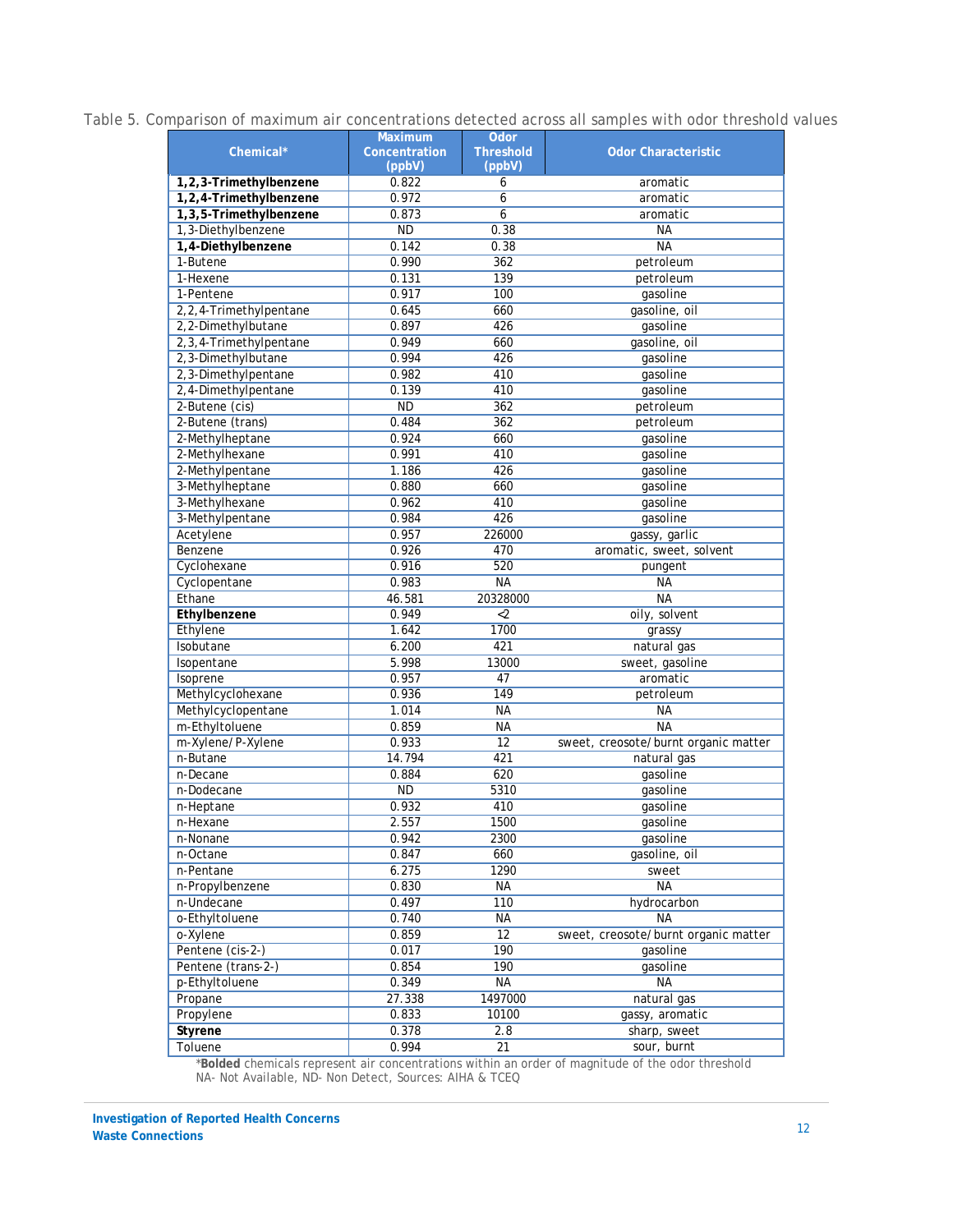|                        | <b>Maximum</b> | <b>Odor</b>      |                                      |
|------------------------|----------------|------------------|--------------------------------------|
| Chemical*              | Concentration  | <b>Threshold</b> | <b>Odor Characteristic</b>           |
|                        | (ppbV)         | (ppbV)           |                                      |
| 1,2,3-Trimethylbenzene | 0.822          | 6                | aromatic                             |
| 1,2,4-Trimethylbenzene | 0.972          | 6                | aromatic                             |
| 1,3,5-Trimethylbenzene | 0.873          | 6                | aromatic                             |
| 1,3-Diethylbenzene     | ND             | 0.38             | NА                                   |
| 1,4-Diethylbenzene     | 0.142          | 0.38             | NA                                   |
| 1-Butene               | 0.990          | 362              | petroleum                            |
| 1-Hexene               | 0.131          | 139              | petroleum                            |
| 1-Pentene              | 0.917          | 100              | gasoline                             |
| 2,2,4-Trimethylpentane | 0.645          | 660              | gasoline, oil                        |
| 2,2-Dimethylbutane     | 0.897          | 426              | gasoline                             |
| 2,3,4-Trimethylpentane | 0.949          | 660              | gasoline, oil                        |
| 2,3-Dimethylbutane     | 0.994          | 426              | qasoline                             |
| 2,3-Dimethylpentane    | 0.982          | 410              |                                      |
|                        |                | 410              | gasoline                             |
| 2,4-Dimethylpentane    | 0.139          |                  | gasoline                             |
| 2-Butene (cis)         | ND             | 362              | petroleum                            |
| 2-Butene (trans)       | 0.484          | 362              | petroleum                            |
| 2-Methylheptane        | 0.924          | 660              | qasoline                             |
| 2-Methylhexane         | 0.991          | 410              | gasoline                             |
| 2-Methylpentane        | 1.186          | 426              | gasoline                             |
| 3-Methylheptane        | 0.880          | 660              | qasoline                             |
| 3-Methylhexane         | 0.962          | 410              | gasoline                             |
| 3-Methylpentane        | 0.984          | 426              | gasoline                             |
| Acetylene              | 0.957          | 226000           | gassy, garlic                        |
| Benzene                | 0.926          | 470              | aromatic, sweet, solvent             |
| Cyclohexane            | 0.916          | 520              | pungent                              |
| Cyclopentane           | 0.983          | NA               | <b>NA</b>                            |
| Ethane                 | 46.581         | 20328000         | <b>NA</b>                            |
| Ethylbenzene           | 0.949          | $<$ 2            | oily, solvent                        |
| Ethylene               | 1.642          | 1700             | grassy                               |
| Isobutane              | 6.200          | 421              | natural gas                          |
| Isopentane             | 5.998          | 13000            | sweet, gasoline                      |
| Isoprene               | 0.957          | 47               | aromatic                             |
| Methylcyclohexane      | 0.936          | 149              | petroleum                            |
| Methylcyclopentane     | 1.014          | <b>NA</b>        | <b>NA</b>                            |
| m-Ethyltoluene         | 0.859          | <b>NA</b>        | <b>NA</b>                            |
| m-Xylene/P-Xylene      | 0.933          | $\overline{12}$  | sweet, creosote/burnt organic matter |
| n-Butane               | 14.794         | 421              | natural gas                          |
| n-Decane               | 0.884          | 620              | gasoline                             |
| n-Dodecane             | ND             | 5310             | gasoline                             |
| n-Heptane              | 0.932          | 410              | gasoline                             |
| n-Hexane               | 2.557          | 1500             | gasoline                             |
| n-Nonane               | 0.942          | 2300             | gasoline                             |
|                        | 0.847          |                  |                                      |
| n-Octane               |                | 660<br>1290      | gasoline, oil                        |
| n-Pentane              | 6.275          |                  | sweet                                |
| n-Propylbenzene        | 0.830          | <b>NA</b>        | <b>NA</b>                            |
| n-Undecane             | 0.497          | 110              | hydrocarbon                          |
| o-Ethyltoluene         | 0.740          | NA               | <b>NA</b>                            |
| o-Xylene               | 0.859          | 12               | sweet, creosote/burnt organic matter |
| Pentene (cis-2-)       | 0.017          | 190              | gasoline                             |
| Pentene (trans-2-)     | 0.854          | 190              | gasoline                             |
| p-Ethyltoluene         | 0.349          | <b>NA</b>        | <b>NA</b>                            |
| Propane                | 27.338         | 1497000          | natural gas                          |
| Propylene              | 0.833          | 10100            | gassy, aromatic                      |
| Styrene                | 0.378          | 2.8              | sharp, sweet                         |
| Toluene                | 0.994          | 21               | sour, burnt                          |

Table 5. Comparison of maximum air concentrations detected across all samples with odor threshold values

\***Bolded** chemicals represent air concentrations within an order of magnitude of the odor threshold NA- Not Available, ND- Non Detect, Sources: AIHA & TCEQ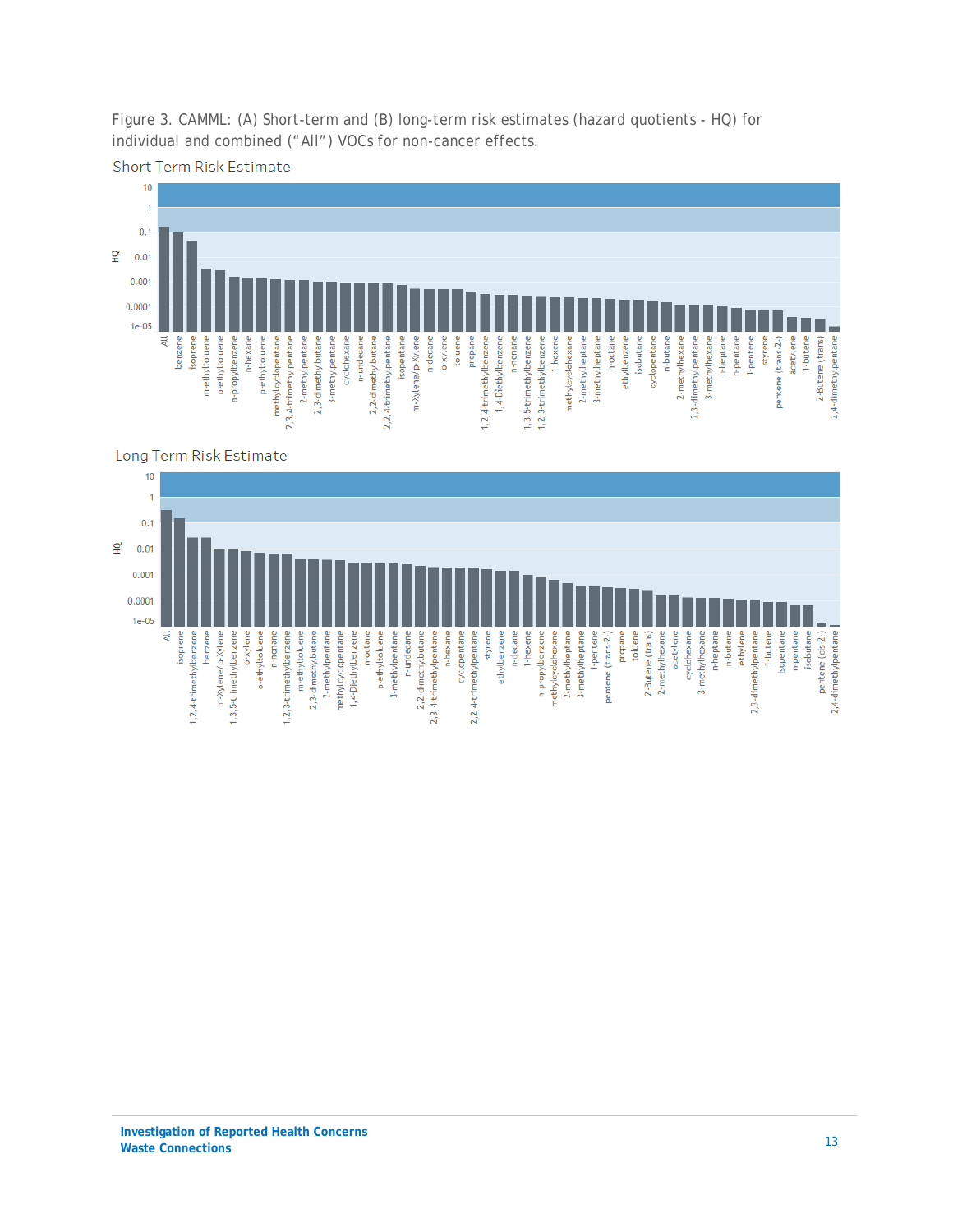Figure 3. CAMML: (A) Short-term and (B) long-term risk estimates (hazard quotients - HQ) for individual and combined ("All") VOCs for non-cancer effects.

Short Term Risk Estimate



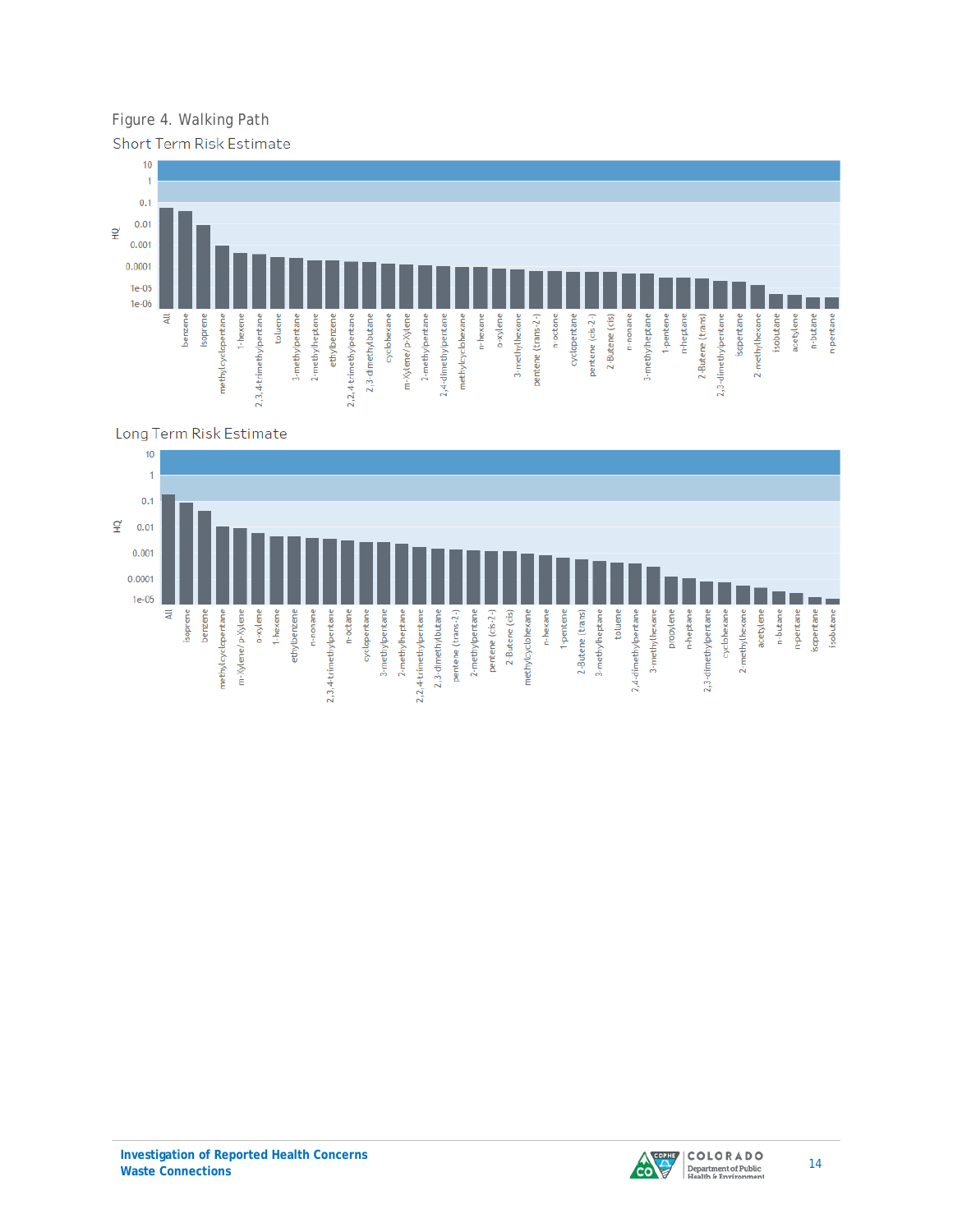Figure 4. Walking Path Short Term Risk Estimate





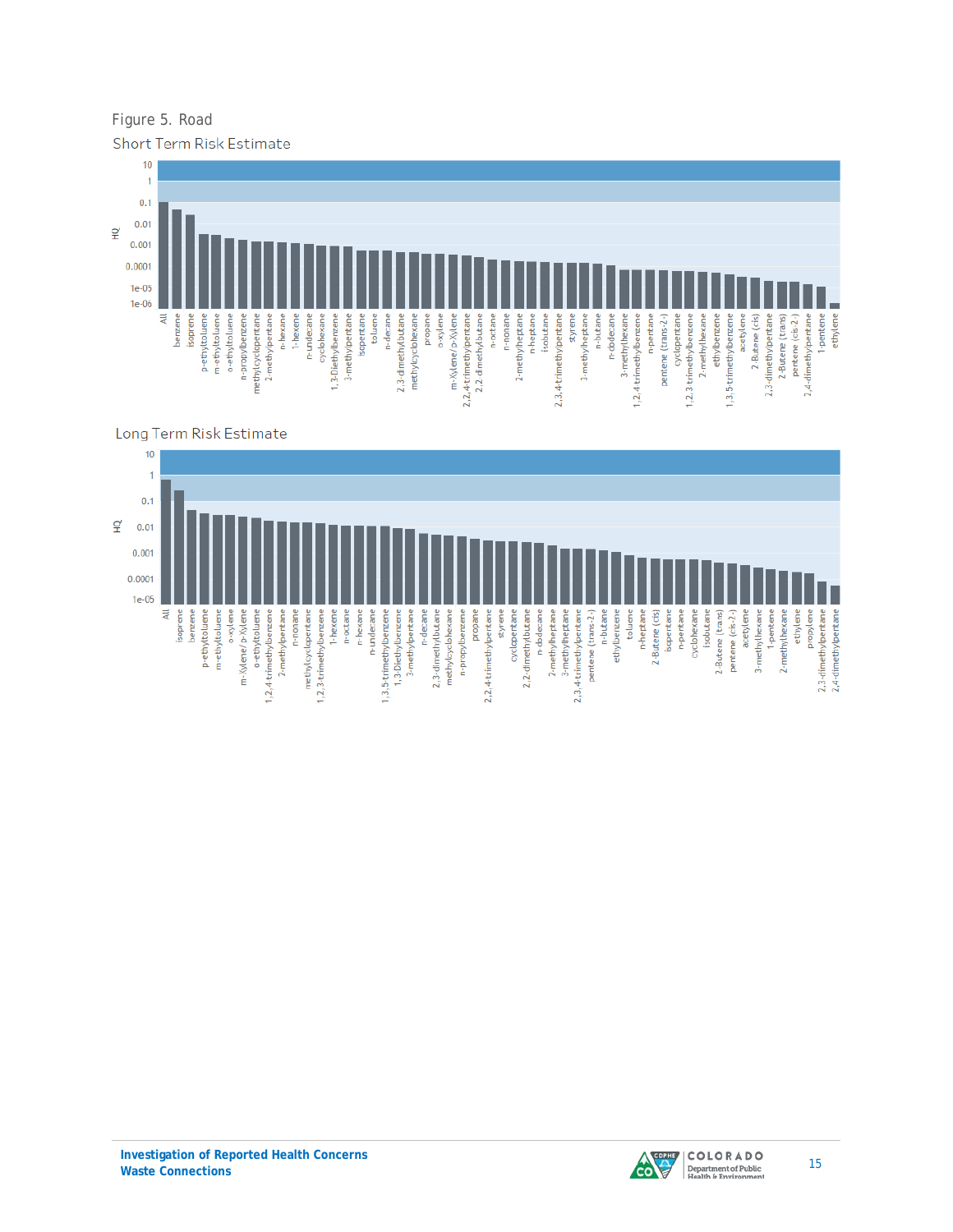Figure 5. RoadShort Term Risk Estimate





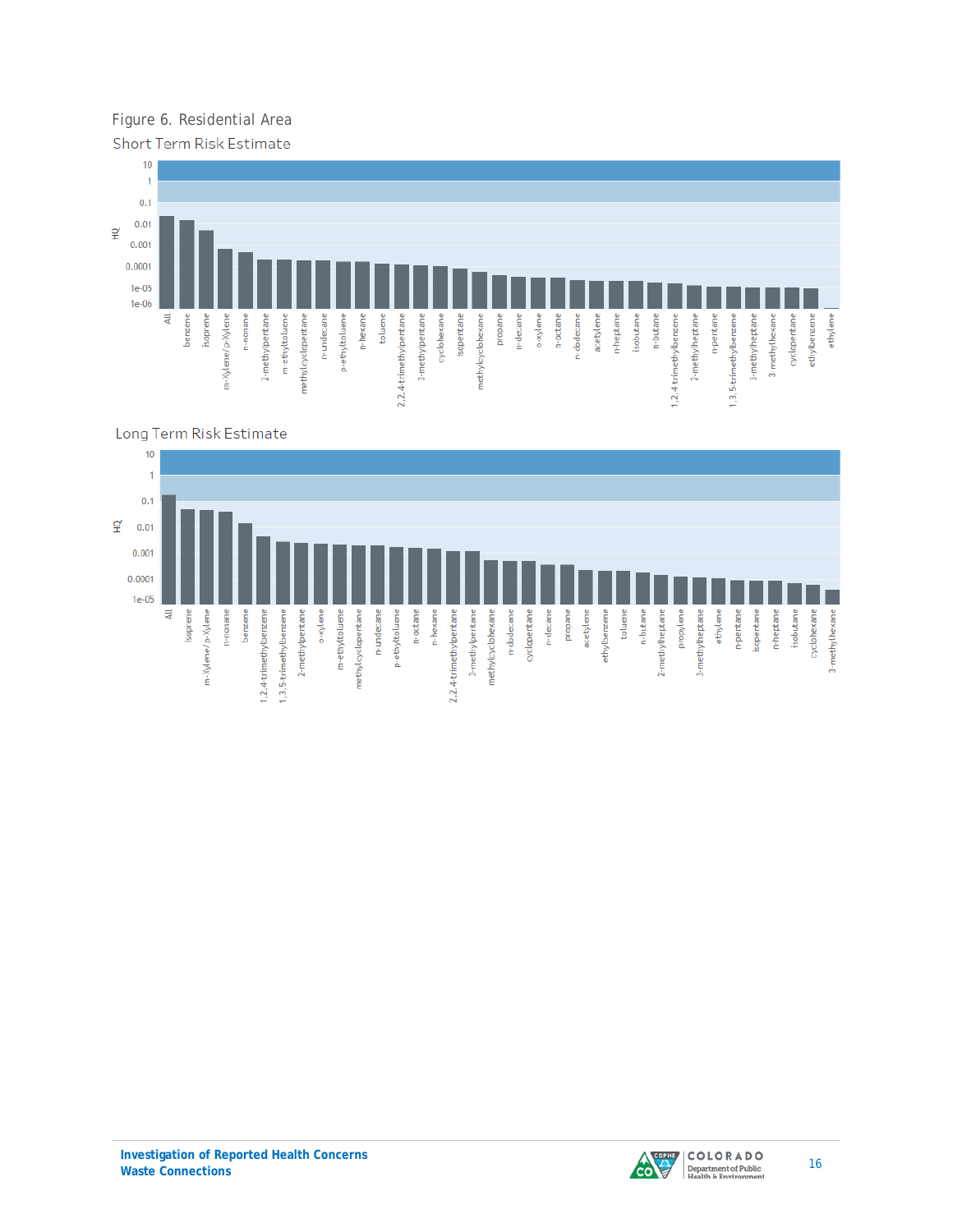Figure 6. Residential AreaShort Term Risk Estimate